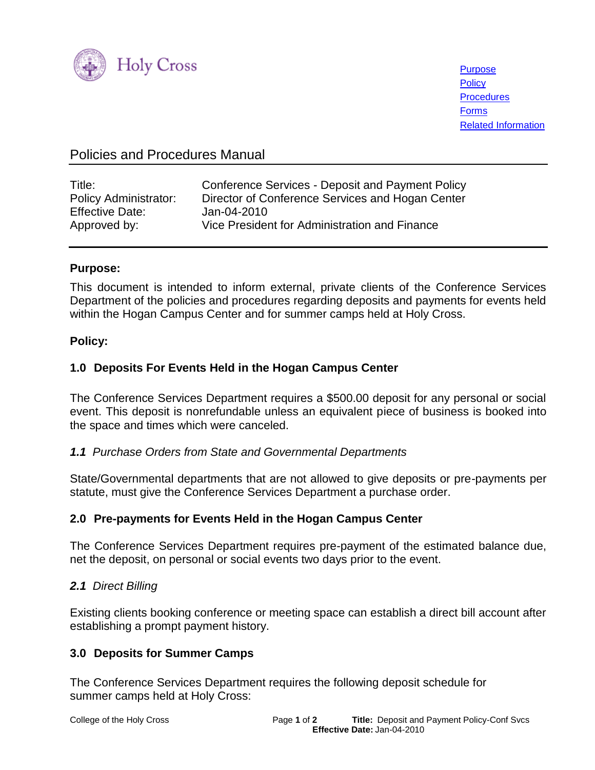

**[Purpose](#page-0-0) [Policy](#page-0-1) [Procedures](#page-1-0)** [Forms](#page-1-1) [Related Information](#page-1-2)

# Policies and Procedures Manual

| Title:                       | Conference Services - Deposit and Payment Policy |
|------------------------------|--------------------------------------------------|
| <b>Policy Administrator:</b> | Director of Conference Services and Hogan Center |
| <b>Effective Date:</b>       | Jan-04-2010                                      |
| Approved by:                 | Vice President for Administration and Finance    |

### <span id="page-0-0"></span>**Purpose:**

This document is intended to inform external, private clients of the Conference Services Department of the policies and procedures regarding deposits and payments for events held within the Hogan Campus Center and for summer camps held at Holy Cross.

### <span id="page-0-1"></span>**Policy:**

# **1.0****Deposits For Events Held in the Hogan Campus Center**

The Conference Services Department requires a \$500.00 deposit for any personal or social event. This deposit is nonrefundable unless an equivalent piece of business is booked into the space and times which were canceled.

### *1.1 Purchase Orders from State and Governmental Departments*

State/Governmental departments that are not allowed to give deposits or pre-payments per statute, must give the Conference Services Department a purchase order.

# **2.0 Pre-payments for Events Held in the Hogan Campus Center**

The Conference Services Department requires pre-payment of the estimated balance due, net the deposit, on personal or social events two days prior to the event.

### *2.1 Direct Billing*

Existing clients booking conference or meeting space can establish a direct bill account after establishing a prompt payment history.

# **3.0 Deposits for Summer Camps**

The Conference Services Department requires the following deposit schedule for summer camps held at Holy Cross: